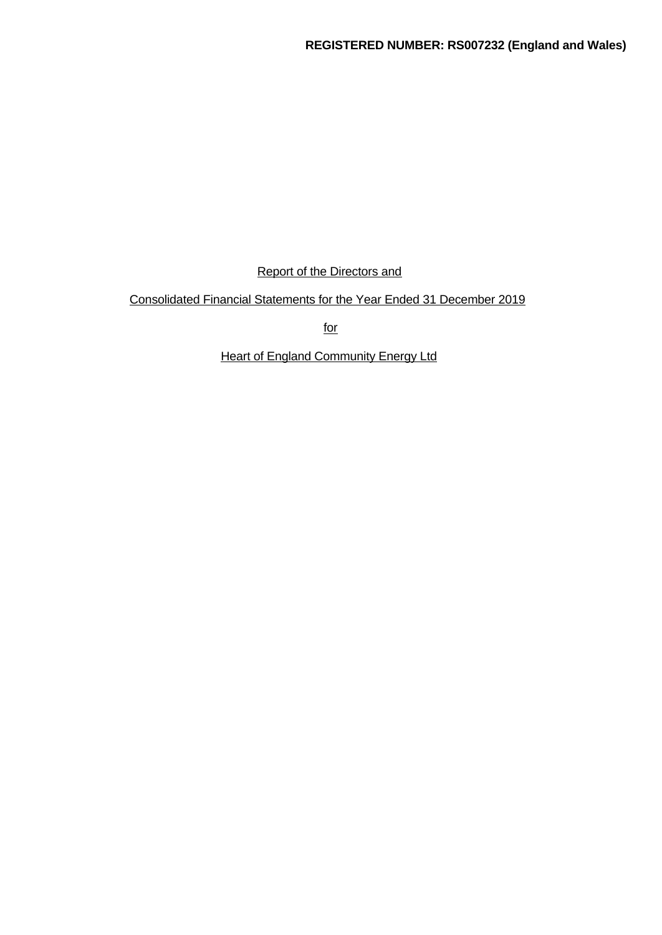Report of the Directors and

Consolidated Financial Statements for the Year Ended 31 December 2019

for

**Heart of England Community Energy Ltd**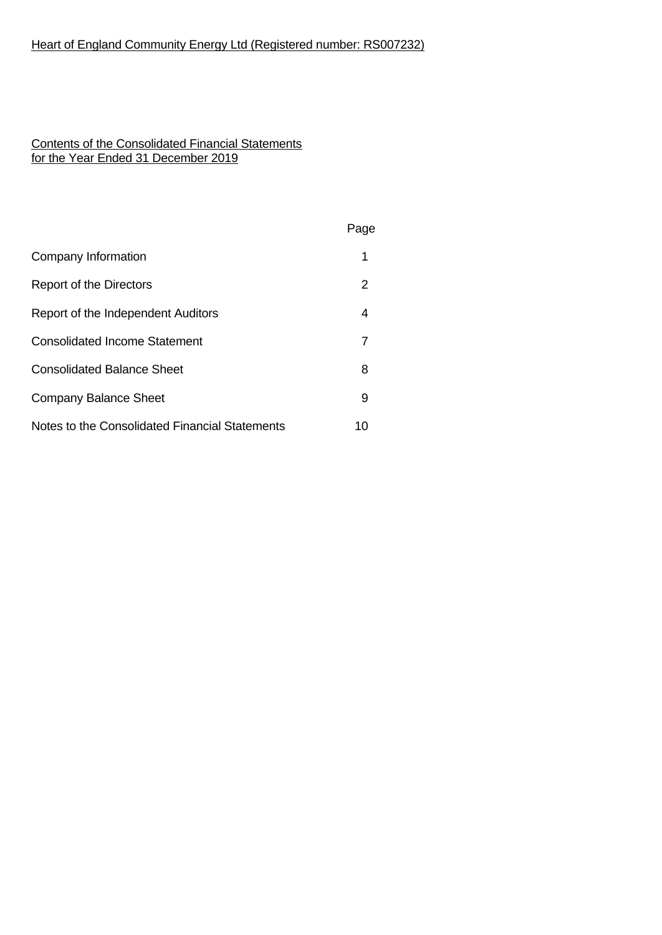# Heart of England Community Energy Ltd (Registered number: RS007232)

# Contents of the Consolidated Financial Statements for the Year Ended 31 December 2019

|                                                | Page |  |
|------------------------------------------------|------|--|
| Company Information                            | 1    |  |
| <b>Report of the Directors</b>                 | 2    |  |
| Report of the Independent Auditors             | 4    |  |
| <b>Consolidated Income Statement</b>           | 7    |  |
| <b>Consolidated Balance Sheet</b>              | 8    |  |
| <b>Company Balance Sheet</b>                   | 9    |  |
| Notes to the Consolidated Financial Statements | 10   |  |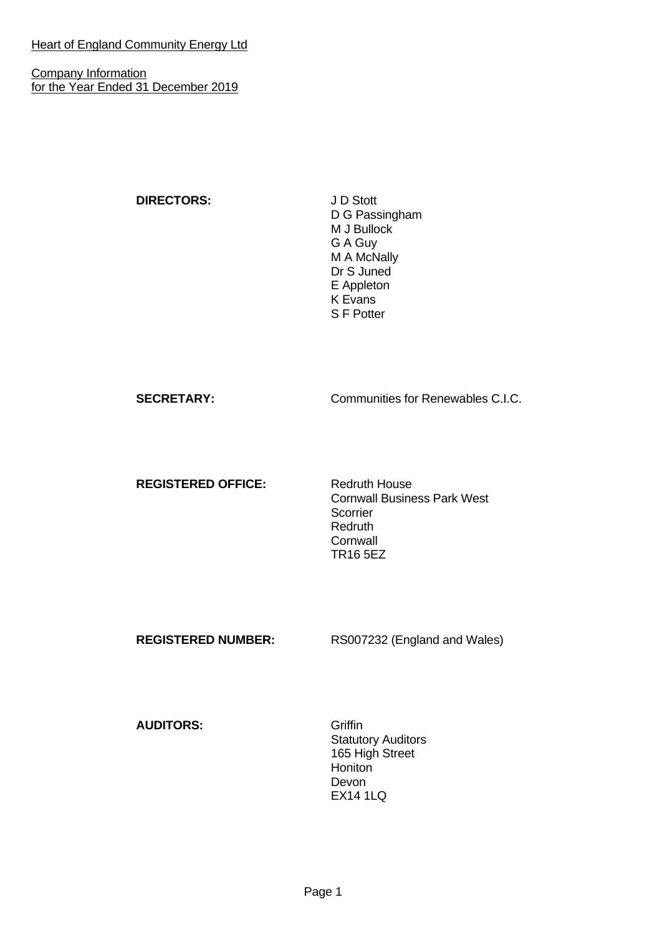Company Information for the Year Ended 31 December 2019

# **DIRECTORS:** JD Stott

D G Passingham M J Bullock G A Guy M A McNally Dr S Juned E Appleton K Evans S F Potter

SECRETARY: Communities for Renewables C.I.C.

# **REGISTERED OFFICE:** Redruth House

Cornwall Business Park West **Scorrier** Redruth **Cornwall** TR16 5EZ

**REGISTERED NUMBER:** RS007232 (England and Wales)

AUDITORS: Griffin

Statutory Auditors 165 High Street **Honiton** Devon EX14 1LQ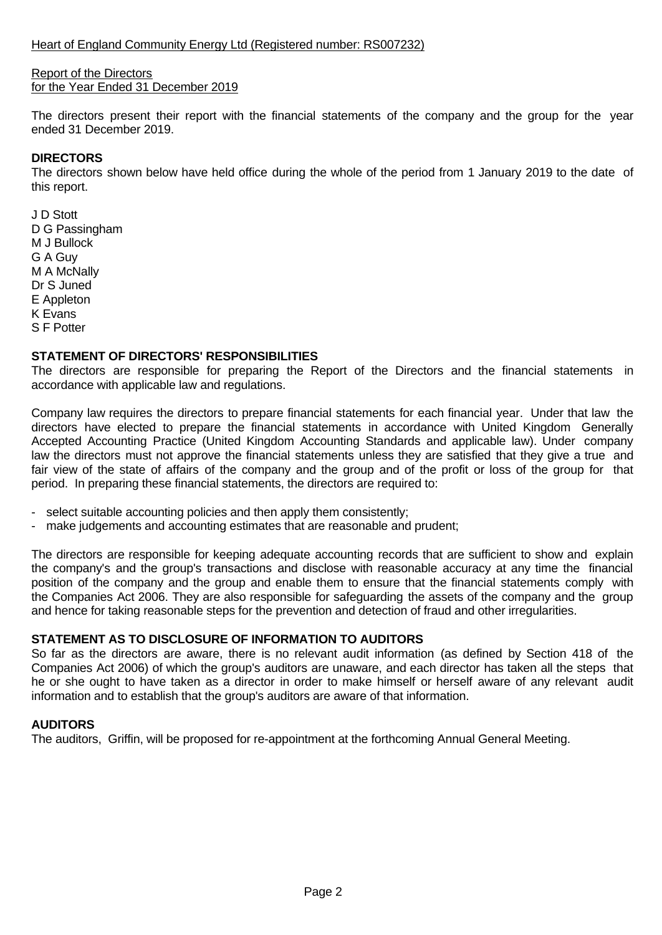Report of the Directors for the Year Ended 31 December 2019

The directors present their report with the financial statements of the company and the group for the year ended 31 December 2019.

# **DIRECTORS**

The directors shown below have held office during the whole of the period from 1 January 2019 to the date of this report.

J D Stott D G Passingham M J Bullock G A Guy M A McNally Dr S Juned E Appleton K Evans S F Potter

# **STATEMENT OF DIRECTORS' RESPONSIBILITIES**

The directors are responsible for preparing the Report of the Directors and the financial statements in accordance with applicable law and regulations.

Company law requires the directors to prepare financial statements for each financial year. Under that law the directors have elected to prepare the financial statements in accordance with United Kingdom Generally Accepted Accounting Practice (United Kingdom Accounting Standards and applicable law). Under company law the directors must not approve the financial statements unless they are satisfied that they give a true and fair view of the state of affairs of the company and the group and of the profit or loss of the group for that period. In preparing these financial statements, the directors are required to:<br>- select suitable accounting policies and then apply them consistently;<br>- make judgements and accounting estimates that are reasonable and pru

- 
- 

The directors are responsible for keeping adequate accounting records that are sufficient to show and explain the company's and the group's transactions and disclose with reasonable accuracy at any time the financial position of the company and the group and enable them to ensure that the financial statements comply with the Companies Act 2006. They are also responsible for safeguarding the assets of the company and the group and hence for taking reasonable steps for the prevention and detection of fraud and other irregularities.

# **STATEMENT AS TO DISCLOSURE OF INFORMATION TO AUDITORS**

So far as the directors are aware, there is no relevant audit information (as defined by Section 418 of the Companies Act 2006) of which the group's auditors are unaware, and each director has taken all the steps that he or she ought to have taken as a director in order to make himself or herself aware of any relevant audit information and to establish that the group's auditors are aware of that information.

# **AUDITORS**

The auditors, Griffin, will be proposed for re-appointment at the forthcoming Annual General Meeting.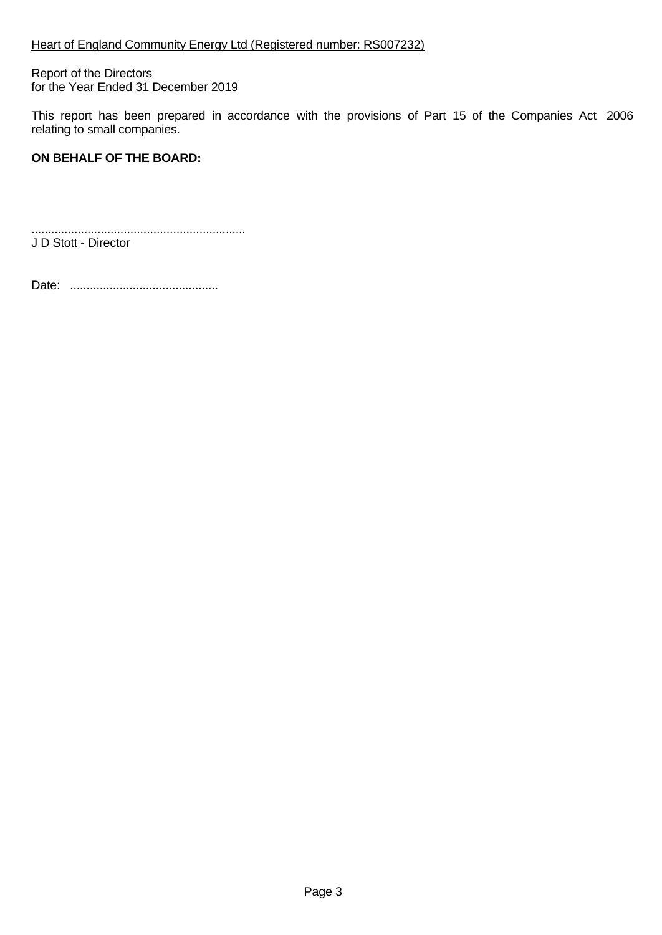Report of the Directors for the Year Ended 31 December 2019

This report has been prepared in accordance with the provisions of Part 15 of the Companies Act 2006 relating to small companies.

# **ON BEHALF OF THE BOARD:**

................................................................. J D Stott - Director

Date: .............................................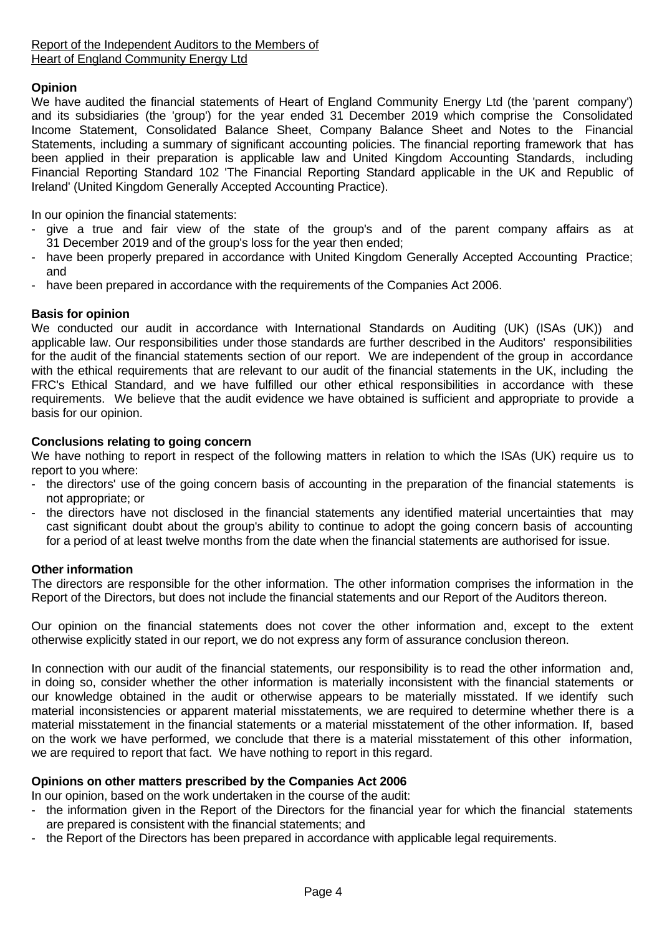# Report of the Independent Auditors to the Members of Heart of England Community Energy Ltd

# **Opinion**

We have audited the financial statements of Heart of England Community Energy Ltd (the 'parent company') and its subsidiaries (the 'group') for the year ended 31 December 2019 which comprise the Consolidated Income Statement, Consolidated Balance Sheet, Company Balance Sheet and Notes to the Financial Statements, including a summary of significant accounting policies. The financial reporting framework that has been applied in their preparation is applicable law and United Kingdom Accounting Standards, including Financial Reporting Standard 102 'The Financial Reporting Standard applicable in the UK and Republic of Ireland' (United Kingdom Generally Accepted Accounting Practice).

In our opinion the financial statements:

- give a true and fair view of the state of the group's and of the parent company affairs as at 31 December 2019 and of the group's loss for the year then ended;<br>- have been properly prepared in accordance with United Kingdom Generally Accepted Accounting Practice;
- and<br>- have been prepared in accordance with the requirements of the Companies Act 2006.
- 

#### **Basis for opinion**

We conducted our audit in accordance with International Standards on Auditing (UK) (ISAs (UK)) and applicable law. Our responsibilities under those standards are further described in the Auditors' responsibilities for the audit of the financial statements section of our report. We are independent of the group in accordance with the ethical requirements that are relevant to our audit of the financial statements in the UK, including the FRC's Ethical Standard, and we have fulfilled our other ethical responsibilities in accordance with these requirements. We believe that the audit evidence we have obtained is sufficient and appropriate to provide a basis for our opinion.

#### **Conclusions relating to going concern**

We have nothing to report in respect of the following matters in relation to which the ISAs (UK) require us to

- report to you where:<br>- the directors' use of the going concern basis of accounting in the preparation of the financial statements is not appropriate; or<br>- the directors have not disclosed in the financial statements any identified material uncertainties that may
- cast significant doubt about the group's ability to continue to adopt the going concern basis of accounting for a period of at least twelve months from the date when the financial statements are authorised for issue.

#### **Other information**

The directors are responsible for the other information. The other information comprises the information in the Report of the Directors, but does not include the financial statements and our Report of the Auditors thereon.

Our opinion on the financial statements does not cover the other information and, except to the extent otherwise explicitly stated in our report, we do not express any form of assurance conclusion thereon.

In connection with our audit of the financial statements, our responsibility is to read the other information and, in doing so, consider whether the other information is materially inconsistent with the financial statements or our knowledge obtained in the audit or otherwise appears to be materially misstated. If we identify such material inconsistencies or apparent material misstatements, we are required to determine whether there is a material misstatement in the financial statements or a material misstatement of the other information. If, based on the work we have performed, we conclude that there is a material misstatement of this other information, we are required to report that fact. We have nothing to report in this regard.

# **Opinions on other matters prescribed by the Companies Act 2006**

In our opinion, based on the work undertaken in the course of the audit:

- the information given in the Report of the Directors for the financial year for which the financial statements are prepared is consistent with the financial statements; and
- the Report of the Directors has been prepared in accordance with applicable legal requirements.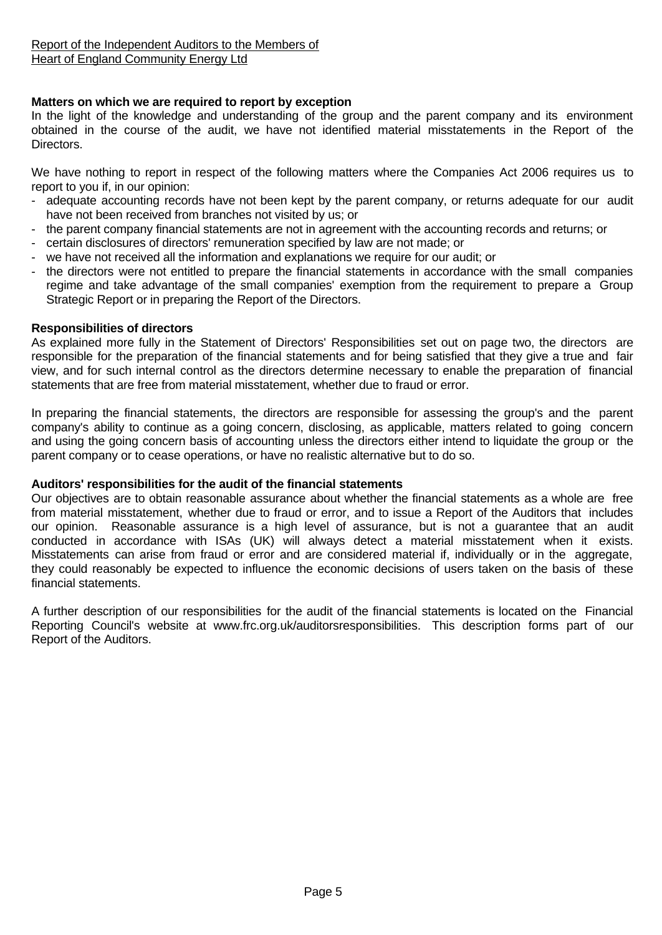# **Matters on which we are required to report by exception**

In the light of the knowledge and understanding of the group and the parent company and its environment obtained in the course of the audit, we have not identified material misstatements in the Report of the Directors.

We have nothing to report in respect of the following matters where the Companies Act 2006 requires us to report to you if, in our opinion:<br>- adequate accounting records have not been kept by the parent company, or returns adequate for our audit

- 
- have not been received from branches not visited by us; or<br>
the parent company financial statements are not in agreement with the accounting records and returns; or<br>
certain disclosures of directors' remuneration specified
- 
- 
- regime and take advantage of the small companies' exemption from the requirement to prepare a Group Strategic Report or in preparing the Report of the Directors.

#### **Responsibilities of directors**

As explained more fully in the Statement of Directors' Responsibilities set out on page two, the directors are responsible for the preparation of the financial statements and for being satisfied that they give a true and fair view, and for such internal control as the directors determine necessary to enable the preparation of financial statements that are free from material misstatement, whether due to fraud or error.

In preparing the financial statements, the directors are responsible for assessing the group's and the parent company's ability to continue as a going concern, disclosing, as applicable, matters related to going concern and using the going concern basis of accounting unless the directors either intend to liquidate the group or the parent company or to cease operations, or have no realistic alternative but to do so.

# **Auditors' responsibilities for the audit of the financial statements**

Our objectives are to obtain reasonable assurance about whether the financial statements as a whole are free from material misstatement, whether due to fraud or error, and to issue a Report of the Auditors that includes our opinion. Reasonable assurance is a high level of assurance, but is not a guarantee that an audit conducted in accordance with ISAs (UK) will always detect a material misstatement when it exists. Misstatements can arise from fraud or error and are considered material if, individually or in the aggregate, they could reasonably be expected to influence the economic decisions of users taken on the basis of these financial statements.

A further description of our responsibilities for the audit of the financial statements is located on the Financial Reporting Council's website at www.frc.org.uk/auditorsresponsibilities. This description forms part of our Report of the Auditors.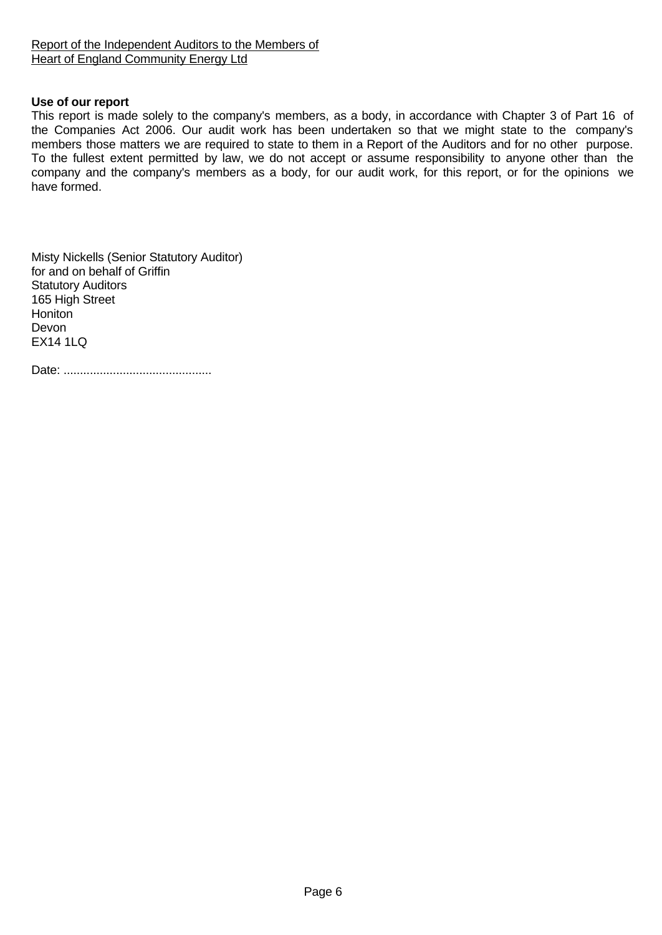# Report of the Independent Auditors to the Members of **Heart of England Community Energy Ltd**

### **Use of our report**

This report is made solely to the company's members, as a body, in accordance with Chapter 3 of Part 16 of the Companies Act 2006. Our audit work has been undertaken so that we might state to the company's members those matters we are required to state to them in a Report of the Auditors and for no other purpose. To the fullest extent permitted by law, we do not accept or assume responsibility to anyone other than the company and the company's members as a body, for our audit work, for this report, or for the opinions we have formed.

Misty Nickells (Senior Statutory Auditor) for and on behalf of Griffin Statutory Auditors 165 High Street **Honiton** Devon EX14 1LQ

Date: .............................................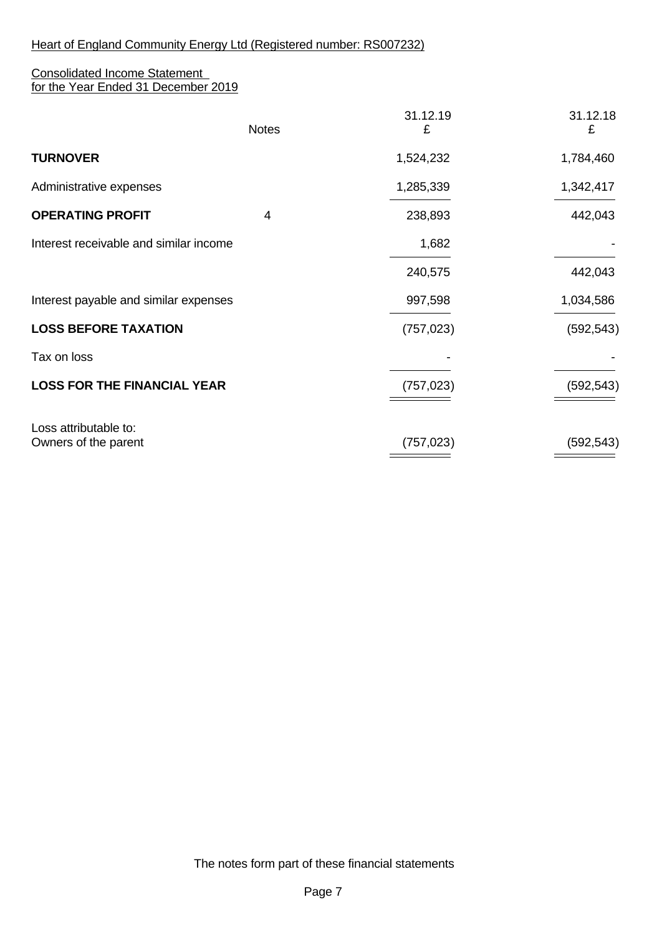# Heart of England Community Energy Ltd (Registered number: RS007232)

### Consolidated Income Statement for the Year Ended 31 December 2019

|                                               | <b>Notes</b> | 31.12.19<br>£ | 31.12.18<br>£ |
|-----------------------------------------------|--------------|---------------|---------------|
| <b>TURNOVER</b>                               |              | 1,524,232     | 1,784,460     |
| Administrative expenses                       |              | 1,285,339     | 1,342,417     |
| <b>OPERATING PROFIT</b>                       | 4            | 238,893       | 442,043       |
| Interest receivable and similar income        |              | 1,682         |               |
|                                               |              | 240,575       | 442,043       |
| Interest payable and similar expenses         |              | 997,598       | 1,034,586     |
| <b>LOSS BEFORE TAXATION</b>                   |              | (757, 023)    | (592, 543)    |
| Tax on loss                                   |              |               |               |
| <b>LOSS FOR THE FINANCIAL YEAR</b>            |              | (757, 023)    | (592, 543)    |
| Loss attributable to:<br>Owners of the parent |              | (757, 023)    | (592,543)     |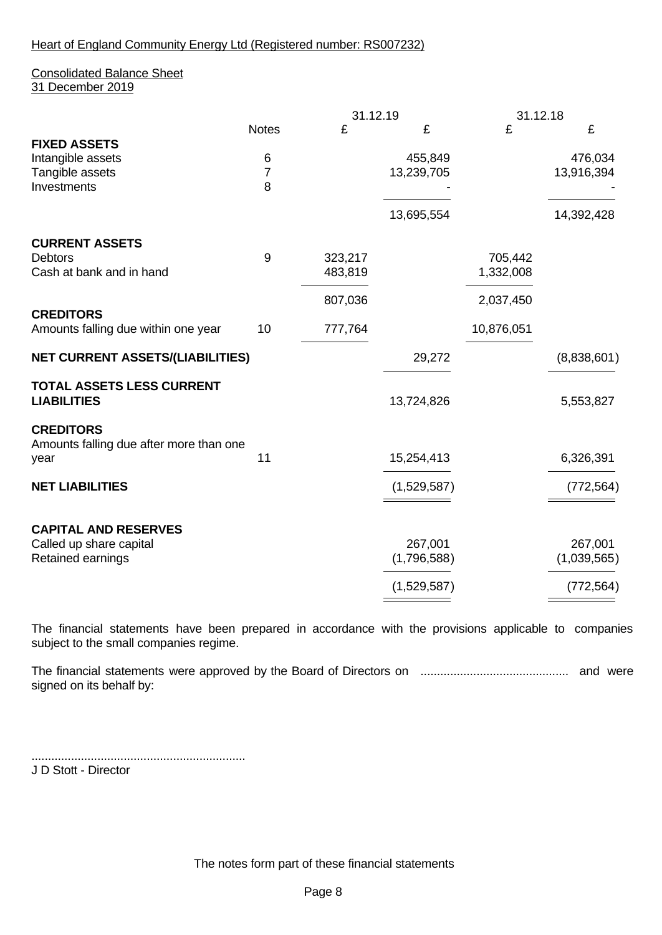#### Consolidated Balance Sheet 31 December 2019

Notes  $\epsilon$   $\epsilon$   $\epsilon$   $\epsilon$ **FIXED ASSETS** Intangible assets 6 455,849 476,034 Tangible assets **7** 13,239,705 13,916,394<br>Investments 8 Investments 8 - - 13,695,554 14,392,428 **CURRENT ASSETS** Debtors 9 323,217 705,442 Cash at bank and in hand 483,819 1,332,008 807,036 2,037,450 **CREDITORS** Amounts falling due within one year 10 777,764 10,876,051 **NET CURRENT ASSETS/(LIABILITIES)** 29,272 (8,838,601) **TOTAL ASSETS LESS CURRENT LIABILITIES** 5,553,827 **CREDITORS** Amounts falling due after more than one year 11 16,254,413 6,326,391 مطلب السلطان المستخدم المستخدم المستخدم المستخدم المستخدم المستخدم المستخدم المستخدم **NET LIABILITIES** (1,529,587) (772,564)

31.12.19 31.12.18

# **CAPITAL AND RESERVES** Called up share capital 267,001 267,001 Retained earnings (1,796,588) (1,039,565) (1,529,587) (772,564)

The financial statements have been prepared in accordance with the provisions applicable to companies subject to the small companies regime.

The financial statements were approved by the Board of Directors on ............................................. and were signed on its behalf by:

................................................................. J D Stott - Director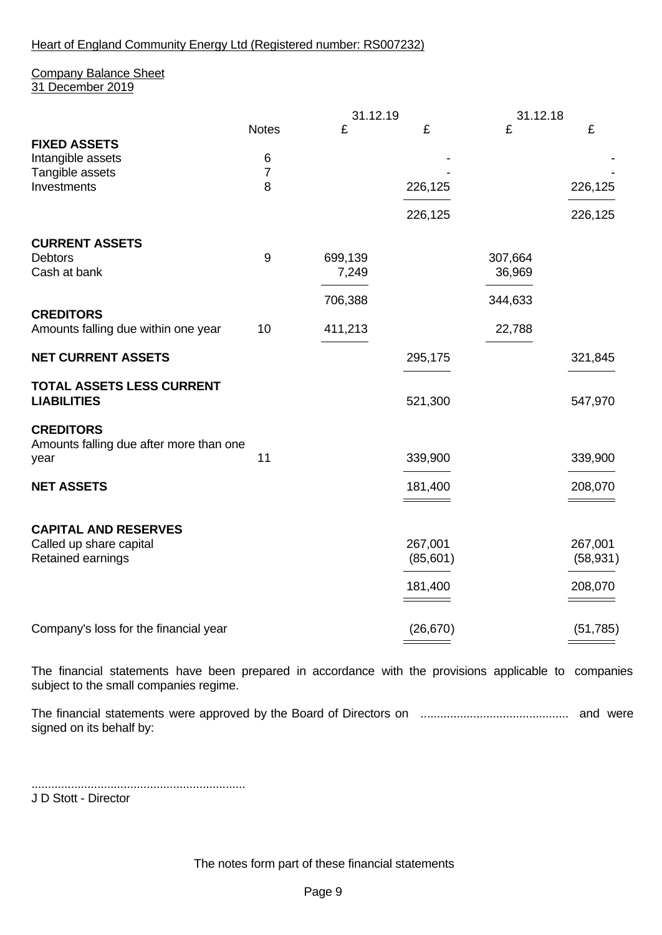# Company Balance Sheet

31 December 2019

| £<br>£<br>£<br>£<br><b>Notes</b><br><b>FIXED ASSETS</b><br>Intangible assets<br>6<br>$\overline{7}$<br>Tangible assets<br>8<br>Investments<br>226,125<br>226,125<br>226,125<br>226,125<br><b>CURRENT ASSETS</b><br>9<br><b>Debtors</b><br>699,139<br>307,664<br>Cash at bank<br>7,249<br>36,969<br>706,388<br>344,633<br><b>CREDITORS</b><br>10<br>Amounts falling due within one year<br>411,213<br>22,788<br><b>NET CURRENT ASSETS</b><br>295,175<br>321,845<br>TOTAL ASSETS LESS CURRENT<br><b>LIABILITIES</b><br>521,300<br>547,970<br><b>CREDITORS</b><br>Amounts falling due after more than one<br>11<br>339,900<br>339,900<br>year<br><b>NET ASSETS</b><br>181,400<br>208,070<br><b>CAPITAL AND RESERVES</b><br>Called up share capital<br>267,001<br>267,001<br>Retained earnings<br>(85,601)<br>(58, 931)<br>181,400<br>208,070 |                                       | 31.12.19 |           | 31.12.18 |           |
|-------------------------------------------------------------------------------------------------------------------------------------------------------------------------------------------------------------------------------------------------------------------------------------------------------------------------------------------------------------------------------------------------------------------------------------------------------------------------------------------------------------------------------------------------------------------------------------------------------------------------------------------------------------------------------------------------------------------------------------------------------------------------------------------------------------------------------------------|---------------------------------------|----------|-----------|----------|-----------|
|                                                                                                                                                                                                                                                                                                                                                                                                                                                                                                                                                                                                                                                                                                                                                                                                                                           |                                       |          |           |          |           |
|                                                                                                                                                                                                                                                                                                                                                                                                                                                                                                                                                                                                                                                                                                                                                                                                                                           |                                       |          |           |          |           |
|                                                                                                                                                                                                                                                                                                                                                                                                                                                                                                                                                                                                                                                                                                                                                                                                                                           |                                       |          |           |          |           |
|                                                                                                                                                                                                                                                                                                                                                                                                                                                                                                                                                                                                                                                                                                                                                                                                                                           |                                       |          |           |          |           |
|                                                                                                                                                                                                                                                                                                                                                                                                                                                                                                                                                                                                                                                                                                                                                                                                                                           |                                       |          |           |          |           |
|                                                                                                                                                                                                                                                                                                                                                                                                                                                                                                                                                                                                                                                                                                                                                                                                                                           |                                       |          |           |          |           |
|                                                                                                                                                                                                                                                                                                                                                                                                                                                                                                                                                                                                                                                                                                                                                                                                                                           |                                       |          |           |          |           |
|                                                                                                                                                                                                                                                                                                                                                                                                                                                                                                                                                                                                                                                                                                                                                                                                                                           |                                       |          |           |          |           |
|                                                                                                                                                                                                                                                                                                                                                                                                                                                                                                                                                                                                                                                                                                                                                                                                                                           |                                       |          |           |          |           |
|                                                                                                                                                                                                                                                                                                                                                                                                                                                                                                                                                                                                                                                                                                                                                                                                                                           |                                       |          |           |          |           |
|                                                                                                                                                                                                                                                                                                                                                                                                                                                                                                                                                                                                                                                                                                                                                                                                                                           |                                       |          |           |          |           |
|                                                                                                                                                                                                                                                                                                                                                                                                                                                                                                                                                                                                                                                                                                                                                                                                                                           |                                       |          |           |          |           |
|                                                                                                                                                                                                                                                                                                                                                                                                                                                                                                                                                                                                                                                                                                                                                                                                                                           |                                       |          |           |          |           |
|                                                                                                                                                                                                                                                                                                                                                                                                                                                                                                                                                                                                                                                                                                                                                                                                                                           |                                       |          |           |          |           |
|                                                                                                                                                                                                                                                                                                                                                                                                                                                                                                                                                                                                                                                                                                                                                                                                                                           |                                       |          |           |          |           |
|                                                                                                                                                                                                                                                                                                                                                                                                                                                                                                                                                                                                                                                                                                                                                                                                                                           |                                       |          |           |          |           |
|                                                                                                                                                                                                                                                                                                                                                                                                                                                                                                                                                                                                                                                                                                                                                                                                                                           |                                       |          |           |          |           |
|                                                                                                                                                                                                                                                                                                                                                                                                                                                                                                                                                                                                                                                                                                                                                                                                                                           |                                       |          |           |          |           |
|                                                                                                                                                                                                                                                                                                                                                                                                                                                                                                                                                                                                                                                                                                                                                                                                                                           |                                       |          |           |          |           |
|                                                                                                                                                                                                                                                                                                                                                                                                                                                                                                                                                                                                                                                                                                                                                                                                                                           |                                       |          |           |          |           |
|                                                                                                                                                                                                                                                                                                                                                                                                                                                                                                                                                                                                                                                                                                                                                                                                                                           |                                       |          |           |          |           |
|                                                                                                                                                                                                                                                                                                                                                                                                                                                                                                                                                                                                                                                                                                                                                                                                                                           |                                       |          |           |          |           |
|                                                                                                                                                                                                                                                                                                                                                                                                                                                                                                                                                                                                                                                                                                                                                                                                                                           | Company's loss for the financial year |          | (26, 670) |          | (51, 785) |

The financial statements have been prepared in accordance with the provisions applicable to companies subject to the small companies regime.

The financial statements were approved by the Board of Directors on ............................................. and were signed on its behalf by:

.................................................................

J D Stott - Director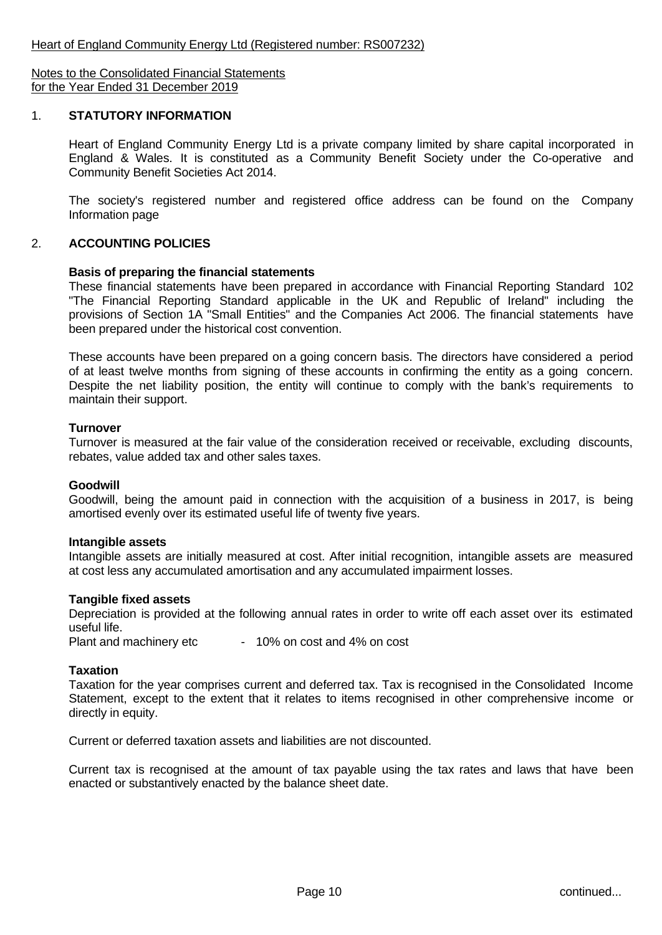#### 1. **STATUTORY INFORMATION**

Heart of England Community Energy Ltd is a private company limited by share capital incorporated in England & Wales. It is constituted as a Community Benefit Society underthe Co-operative and Community Benefit Societies Act 2014.

The society's registered number and registered office address can be found on the Company Information page

#### 2. **ACCOUNTING POLICIES**

#### **Basis of preparing the financial statements**

These financial statements have been prepared in accordance with Financial Reporting Standard 102 "The Financial Reporting Standard applicable in the UK and Republic of Ireland" including the provisions of Section 1A "Small Entities" and the Companies Act 2006. The financial statements have been prepared under the historical cost convention.

These accounts have been prepared on a going concern basis. The directors have considered a period of at least twelve months from signing of these accounts in confirming the entity as a going concern. Despite the net liability position, the entity will continue to comply with the bank's requirements to maintain their support.

#### **Turnover**

Turnover is measured at the fair value of the consideration received or receivable, excluding discounts, rebates, value added tax and other sales taxes.

#### **Goodwill**

Goodwill, being the amount paid in connection with the acquisition of a business in 2017, is being amortised evenly over its estimated useful life of twenty five years.

#### **Intangible assets**

Intangible assets are initially measured at cost. After initial recognition, intangible assets are measured at cost less any accumulated amortisation and any accumulated impairment losses.

#### **Tangible fixed assets**

Depreciation is provided at the following annual rates in order to write off each asset over its estimated useful life.

Plant and machinery etc - 10% on cost and 4% on cost

#### **Taxation**

Taxation for the year comprises current and deferred tax. Tax is recognised in the Consolidated Income Statement, except to the extent that it relates to items recognised in other comprehensive income or directly in equity.

Current or deferred taxation assets and liabilities are not discounted.

Current tax is recognised at the amount of tax payable using the tax rates and laws that have been enacted or substantively enacted by the balance sheet date.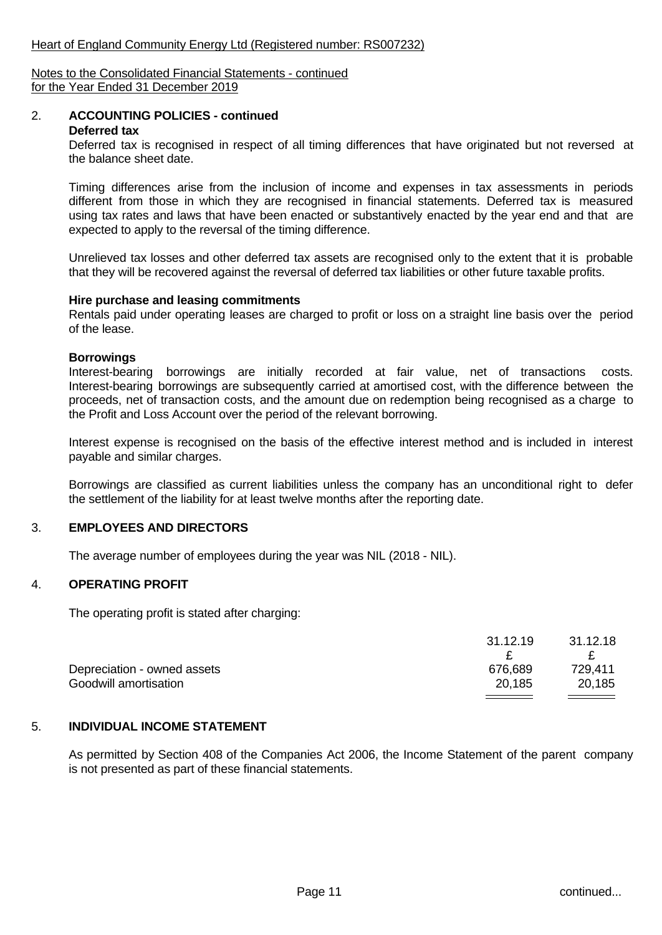# 2. **ACCOUNTING POLICIES - continued**

#### **Deferred tax**

Deferred tax is recognised in respect of all timing differences that have originated but not reversed at the balance sheet date.

Timing differences arise from the inclusion of income and expenses in tax assessments in periods different from those in which they are recognised in financial statements. Deferred tax is measured using tax rates and laws that have been enacted or substantively enacted by the year end and that are expected to apply to the reversal of the timing difference.

Unrelieved tax losses and other deferred tax assets are recognised only to the extent that it is probable that they will be recovered against the reversal of deferred tax liabilities or other future taxable profits.

#### **Hire purchase and leasing commitments**

Rentals paid under operating leases are charged to profit or loss on a straight line basis over the period of the lease.

#### **Borrowings**

Interest-bearing borrowings are initially recorded at fair value, net of transactions costs. Interest-bearing borrowings are subsequently carried at amortised cost, with the difference between the proceeds, net of transaction costs, and the amount due on redemption being recognised as a charge to the Profit and Loss Account over the period of the relevant borrowing.

Interest expense is recognised on the basis of the effective interest method and is included in interest payable and similar charges.

Borrowings are classified as current liabilities unless the company has an unconditional right to defer the settlement of the liability for at least twelve months after the reporting date.

#### 3. **EMPLOYEES AND DIRECTORS**

The average number of employees during the year was NIL (2018 - NIL).

# 4. **OPERATING PROFIT**

The operating profit is stated after charging:

|                             | 31.12.19 | 31.12.18 |  |
|-----------------------------|----------|----------|--|
|                             |          |          |  |
| Depreciation - owned assets | 676,689  | 729,411  |  |
| Goodwill amortisation       | 20,185   | 20,185   |  |
|                             |          |          |  |

# 5. **INDIVIDUAL INCOME STATEMENT**

As permitted by Section 408 of the Companies Act 2006, the Income Statement of the parent company is not presented as part of these financial statements.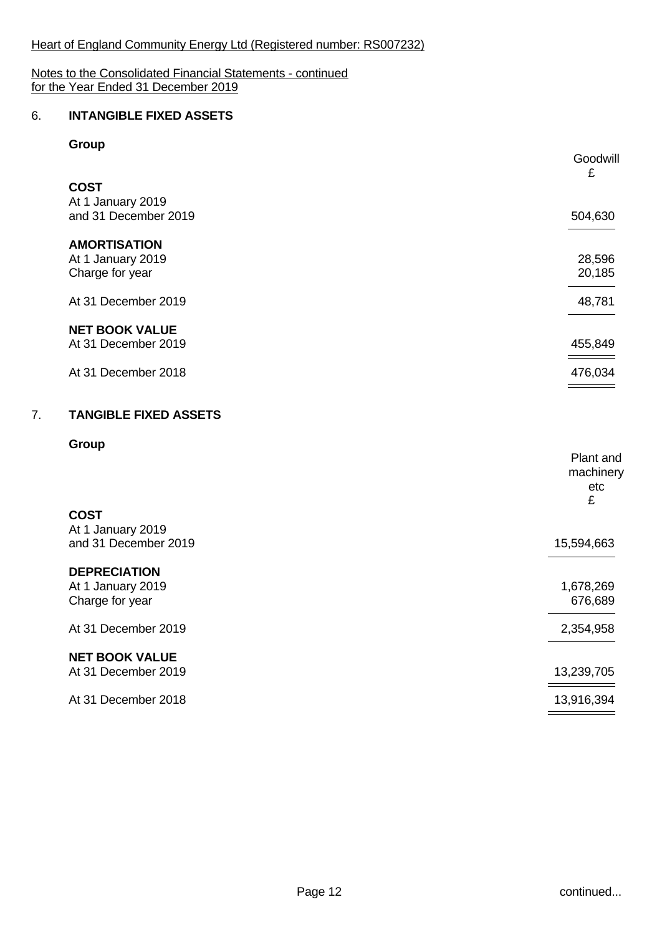# 6. **INTANGIBLE FIXED ASSETS**

# **Group**

|                                                             | Goodwill<br>£    |
|-------------------------------------------------------------|------------------|
| <b>COST</b><br>At 1 January 2019<br>and 31 December 2019    | 504,630          |
| <b>AMORTISATION</b><br>At 1 January 2019<br>Charge for year | 28,596<br>20,185 |
| At 31 December 2019                                         | 48,781           |
| <b>NET BOOK VALUE</b><br>At 31 December 2019                | 455,849          |
| At 31 December 2018                                         | 476,034          |

# 7. **TANGIBLE FIXED ASSETS**

| Group                                                       | Plant and<br>machinery<br>etc |
|-------------------------------------------------------------|-------------------------------|
| <b>COST</b><br>At 1 January 2019<br>and 31 December 2019    | £<br>15,594,663               |
| <b>DEPRECIATION</b><br>At 1 January 2019<br>Charge for year | 1,678,269<br>676,689          |
| At 31 December 2019                                         | 2,354,958                     |
| <b>NET BOOK VALUE</b><br>At 31 December 2019                | 13,239,705                    |
| At 31 December 2018                                         | 13,916,394                    |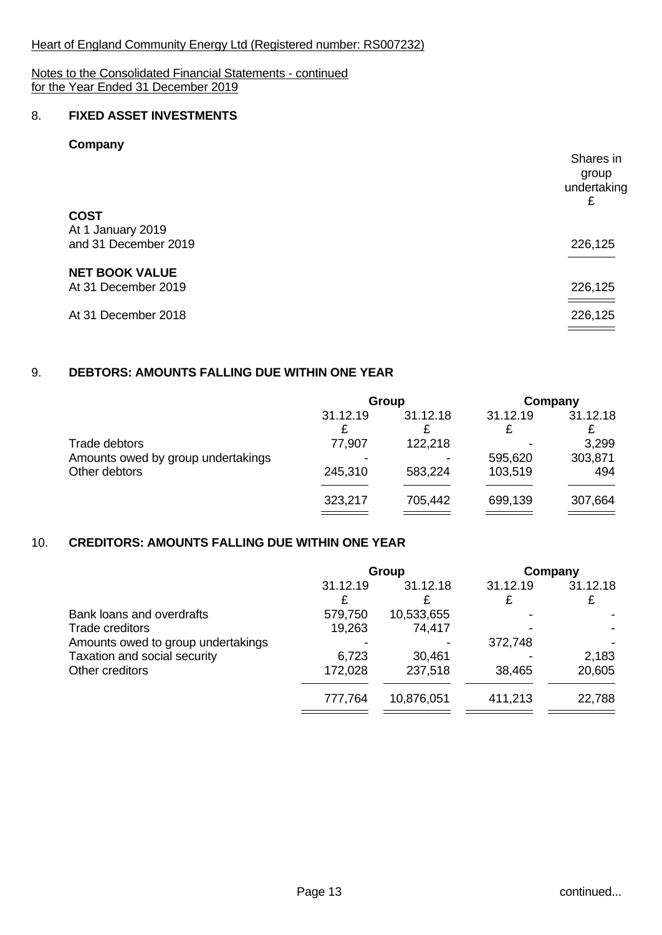# 8. **FIXED ASSET INVESTMENTS**

| Company                                                  | Shares in<br>group<br>undertaking<br>£ |
|----------------------------------------------------------|----------------------------------------|
| <b>COST</b><br>At 1 January 2019<br>and 31 December 2019 | 226,125                                |
| <b>NET BOOK VALUE</b><br>At 31 December 2019             | 226,125                                |
| At 31 December 2018                                      | 226,125                                |

# 9. **DEBTORS: AMOUNTS FALLING DUE WITHIN ONE YEAR**

|                                    |               | Group    |          | Company  |
|------------------------------------|---------------|----------|----------|----------|
|                                    | 31.12.19<br>£ | 31.12.18 | 31.12.19 | 31.12.18 |
| Trade debtors                      | 77,907        | 122,218  | -        | 3,299    |
| Amounts owed by group undertakings | -             | -        | 595,620  | 303,871  |
| Other debtors                      | 245,310       | 583,224  | 103,519  | 494      |
|                                    | 323,217       | 705,442  | 699,139  | 307,664  |
|                                    |               |          |          |          |

#### 10. **CREDITORS: AMOUNTS FALLING DUE WITHIN ONE YEAR**

|                                    |          | Group      | Company  |                          |
|------------------------------------|----------|------------|----------|--------------------------|
|                                    | 31.12.19 | 31.12.18   | 31.12.19 | 31.12.18                 |
|                                    |          |            |          |                          |
| Bank loans and overdrafts          | 579,750  | 10,533,655 |          | $\overline{\phantom{0}}$ |
| Trade creditors                    | 19,263   | 74,417     |          | $\overline{\phantom{0}}$ |
| Amounts owed to group undertakings |          |            | 372,748  | $\overline{\phantom{0}}$ |
| Taxation and social security       | 6,723    | 30,461     |          | 2,183                    |
| Other creditors                    | 172,028  | 237,518    | 38,465   | 20,605                   |
|                                    | 777,764  | 10,876,051 | 411,213  | 22,788                   |
|                                    |          |            |          |                          |